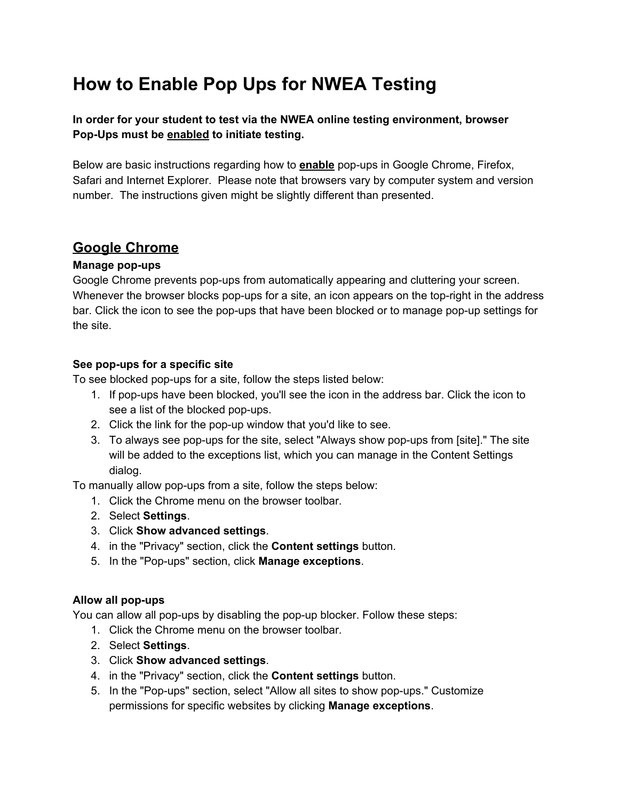# **How to Enable Pop Ups for NWEA Testing**

**In order for your student to test via the NWEA online testing environment, browser Pop-Ups must be enabled to initiate testing.**

Below are basic instructions regarding how to **enable** pop-ups in Google Chrome, Firefox, Safari and Internet Explorer. Please note that browsers vary by computer system and version number. The instructions given might be slightly different than presented.

### **Google Chrome**

#### **Manage pop-ups**

Google Chrome prevents pop-ups from automatically appearing and cluttering your screen. Whenever the browser blocks pop-ups for a site, an icon appears on the top-right in the address bar. Click the icon to see the pop-ups that have been blocked or to manage pop-up settings for the site.

### **See pop-ups for a specific site**

To see blocked pop-ups for a site, follow the steps listed below:

- 1. If pop-ups have been blocked, you'll see the icon in the address bar. Click the icon to see a list of the blocked pop-ups.
- 2. Click the link for the pop-up window that you'd like to see.
- 3. To always see pop-ups for the site, select "Always show pop-ups from [site]." The site will be added to the exceptions list, which you can manage in the Content Settings dialog.

To manually allow pop-ups from a site, follow the steps below:

- 1. Click the Chrome menu on the browser toolbar.
- 2. Select **Settings**.
- 3. Click **Show advanced settings**.
- 4. in the "Privacy" section, click the **Content settings** button.
- 5. In the "Pop-ups" section, click **Manage exceptions**.

#### **Allow all pop-ups**

You can allow all pop-ups by disabling the pop-up blocker. Follow these steps:

- 1. Click the Chrome menu on the browser toolbar.
- 2. Select **Settings**.
- 3. Click **Show advanced settings**.
- 4. in the "Privacy" section, click the **Content settings** button.
- 5. In the "Pop-ups" section, select "Allow all sites to show pop-ups." Customize permissions for specific websites by clicking **Manage exceptions**.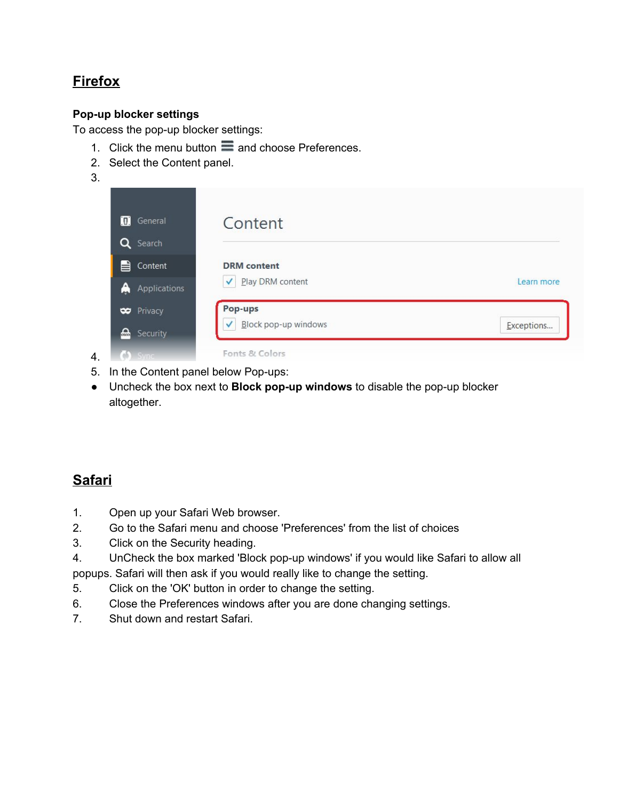# **Firefox**

#### **Pop-up blocker settings**

To access the pop-up blocker settings:

- 1. Click the menu button  $\equiv$  and choose Preferences.
- 2. Select the Content panel.
- 3.



- 5. In the Content panel below Pop-ups:
- Uncheck the box next to **Block pop-up windows** to disable the pop-up blocker altogether.

# **Safari**

- 1. Open up your Safari Web browser.
- 2. Go to the Safari menu and choose 'Preferences' from the list of choices
- 3. Click on the Security heading.
- 4. UnCheck the box marked 'Block pop-up windows' if you would like Safari to allow all

popups. Safari will then ask if you would really like to change the setting.

- 5. Click on the 'OK' button in order to change the setting.
- 6. Close the Preferences windows after you are done changing settings.
- 7. Shut down and restart Safari.